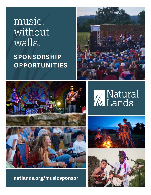music. without walls.

# **S P O N S O R S H I P OPPORTUNITIES**



**natlands.org/musicsponsor**







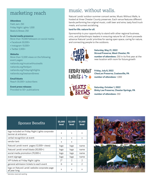### marketing reach

#### **Attendees**

Field Jam: 250 Friday Night Lights: 1,000 Beats & Brews: 250

#### **Social media presence**

More than 70,000 followers on social media:

- Facebook 50,000+
- Instagram 10,000+
- Twitter 2,000+

#### **Website**

More than 12,000 views on the following event pages: natlands.org/musicwithoutwalls natlands.org/fieldjam natlands.org/fridaynightlights natlands.org/beatsandbrews

**Email blasts** Reach 30,000+ subscribers

**Event press releases** Provided to 50+ publications

### music. without walls.

Natural Lands' outdoor summer concert series, Music Without Walls, is hosted at three Chester County preserves. Each venue features different bands performing live original music, craft beer and wine, tasty food truck meals, and sunset socializing.

#### **land for life. nature for all.**

Sponsorship is your opportunity to stand with other regional business, civic, and philanthropic leaders in ensuring nature for all. Event proceeds advance Natural Lands' priorities for saving open space, caring for nature, and connecting people to the outdoors.



**Saturday, May 21, 2022 Stroud Preserve, West Chester, PA**

**number of attendees:** 250 in its first year at the new location with room for future growth



**Friday, July 8, 2022 ChesLen Preserve, Coatesville, PA number of attendees:** 1,000



**Saturday, October 1, 2022 Binky Lee Preserve, Chester Springs, PA number of attendees:** 250

| Sponsor Benefits                                                     | \$5,000<br>level | \$2,500<br>level | \$1,500<br><b>level</b> |
|----------------------------------------------------------------------|------------------|------------------|-------------------------|
| logo included on Friday Night Lights corporate<br>banner at entrance | X                | X                | X                       |
| verbal recognition at event                                          | X                | X                | X                       |
| vendor tent                                                          | X                | X                |                         |
| Natural Lands' event pages (12,000+ views)                           | logo             | logo             | name                    |
| Natural Lands' email blasts (30,000+)                                | logo             | logo             | name                    |
| social media promotion (70,000+)                                     | logo             | logo             | name                    |
| event signage                                                        | logo             | logo             | name                    |
| VIP tickets at Friday Night Lights                                   | $2^{\star}$      | 2                | $\mathfrak{D}$          |
| general admission tickets to each event                              | 6                | 4                | $\mathfrak{D}$          |
| logo on Natural Lands' website corporate page<br>all year long       | X                | X                | X                       |



*\* denotes reserved seating*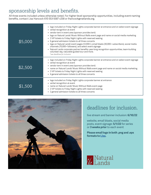### sponsorship levels and benefits.

All three events included unless otherwise noted. For higher-level sponsorship opportunities, including event-naming benefits, contact Lisa Hancock 610-353-5587 x258 or lhancock@natlands.org.

| \$5,000 | · logo included on Friday Night Lights corporate banner at entrance and on select event signage<br>• verbal recognition at event<br>• vendor tent in event area (sponsor provides tent)<br>· logo on Natural Lands' Music Without Walls event page and name on social media marketing<br>• 2 VIP tickets to Friday Night Lights with reserved seating<br>• 6 general admission tickets to all three concerts<br>· logo on Natural Lands' event pages (12,000+), email blasts (30,000+ subscribers), social media<br>channels (70,000+ followers), and select event signage<br>• Natural Lands corporate partner benefits: year-long recognition opportunities, team-building<br>volunteer day, naturalist-guided tour and more.<br>*see deadlines for inclusion |
|---------|-----------------------------------------------------------------------------------------------------------------------------------------------------------------------------------------------------------------------------------------------------------------------------------------------------------------------------------------------------------------------------------------------------------------------------------------------------------------------------------------------------------------------------------------------------------------------------------------------------------------------------------------------------------------------------------------------------------------------------------------------------------------|
| \$2,500 | • logo included on Friday Night Lights corporate banner at entrance and on select event signage<br>• verbal recognition at event<br>• vendor tent in event area (sponsor provides tent)<br>• name on Natural Lands' Music Without Walls event page and name on social media marketing<br>• 2 VIP tickets to Friday Night Lights with reserved seating<br>• 4 general admission tickets to all three concerts                                                                                                                                                                                                                                                                                                                                                    |
| \$1,500 | • logo included on Friday Night Lights corporate banner at entrance<br>• verbal recognition at event<br>• name on Natural Lands' Music Without Walls event page<br>• 2 VIP tickets to Friday Night Lights with reserved seating<br>• 2 general admission tickets to all three concerts                                                                                                                                                                                                                                                                                                                                                                                                                                                                          |



## deadlines for inclusion.

live stream and banner inclusion: **6/10/22**

website, email blasts, social media posts, event signage: **5/1/22** for series or **3 weeks prior** to each event

**Please email logo in both .png and .eps formats to [Lisa](https://apps.natlands.org/ContactUs/NaturalLands.aspx?Target=CorpGiving).**